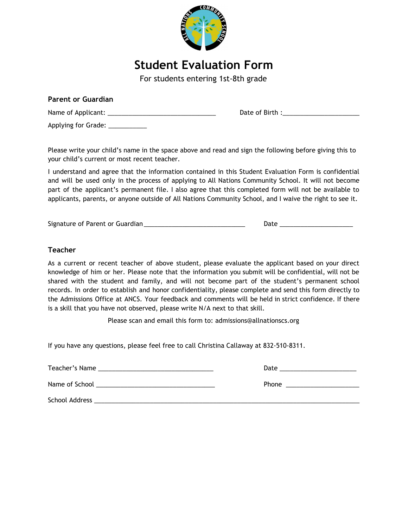

# **Student Evaluation Form**

For students entering 1st-8th grade

| <b>Parent or Guardian</b>        |                 |
|----------------------------------|-----------------|
|                                  | Date of Birth : |
| Applying for Grade: ____________ |                 |

Please write your child's name in the space above and read and sign the following before giving this to your child's current or most recent teacher.

I understand and agree that the information contained in this Student Evaluation Form is confidential and will be used only in the process of applying to All Nations Community School. It will not become part of the applicant's permanent file. I also agree that this completed form will not be available to applicants, parents, or anyone outside of All Nations Community School, and I waive the right to see it.

Signature of Parent or Guardian \_\_\_\_\_\_\_\_\_\_\_\_\_\_\_\_\_\_\_\_\_\_\_\_\_\_\_\_\_ Date \_\_\_\_\_\_\_\_\_\_\_\_\_\_\_\_\_\_\_\_\_

### **Teacher**

As a current or recent teacher of above student, please evaluate the applicant based on your direct knowledge of him or her. Please note that the information you submit will be confidential, will not be shared with the student and family, and will not become part of the student's permanent school records. In order to establish and honor confidentiality, please complete and send this form directly to the Admissions Office at ANCS. Your feedback and comments will be held in strict confidence. If there is a skill that you have not observed, please write N/A next to that skill.

Please scan and email this form to: [admissions@allnationscs.org](mailto:admissions@allnationscs.org)

If you have any questions, please feel free to call Christina Callaway at 832-510-8311.

| Teacher's Name | Date         |
|----------------|--------------|
| Name of School | <b>Phone</b> |
| School Address |              |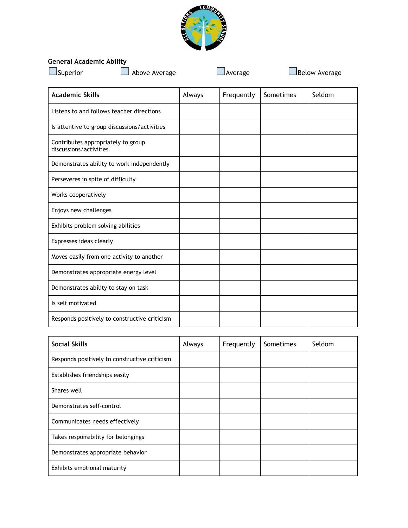

## **General Academic Ability**

Demonstrates appropriate energy level

Responds positively to constructive criticism

Demonstrates ability to stay on task

Is self motivated

| General Academic Ability<br>$\Box$ Superior                  | Above Average |        | Average    |           | <b>Below Average</b> |
|--------------------------------------------------------------|---------------|--------|------------|-----------|----------------------|
| <b>Academic Skills</b>                                       |               | Always | Frequently | Sometimes | Seldom               |
| Listens to and follows teacher directions                    |               |        |            |           |                      |
| Is attentive to group discussions/activities                 |               |        |            |           |                      |
| Contributes appropriately to group<br>discussions/activities |               |        |            |           |                      |
| Demonstrates ability to work independently                   |               |        |            |           |                      |
| Perseveres in spite of difficulty                            |               |        |            |           |                      |
| Works cooperatively                                          |               |        |            |           |                      |
| Enjoys new challenges                                        |               |        |            |           |                      |
| Exhibits problem solving abilities                           |               |        |            |           |                      |
| Expresses ideas clearly                                      |               |        |            |           |                      |
| Moves easily from one activity to another                    |               |        |            |           |                      |

| <b>Social Skills</b>                          | Always | Frequently | <b>Sometimes</b> | Seldom |
|-----------------------------------------------|--------|------------|------------------|--------|
| Responds positively to constructive criticism |        |            |                  |        |
| Establishes friendships easily                |        |            |                  |        |
| Shares well                                   |        |            |                  |        |
| Demonstrates self-control                     |        |            |                  |        |
| Communicates needs effectively                |        |            |                  |        |
| Takes responsibility for belongings           |        |            |                  |        |
| Demonstrates appropriate behavior             |        |            |                  |        |
| Exhibits emotional maturity                   |        |            |                  |        |